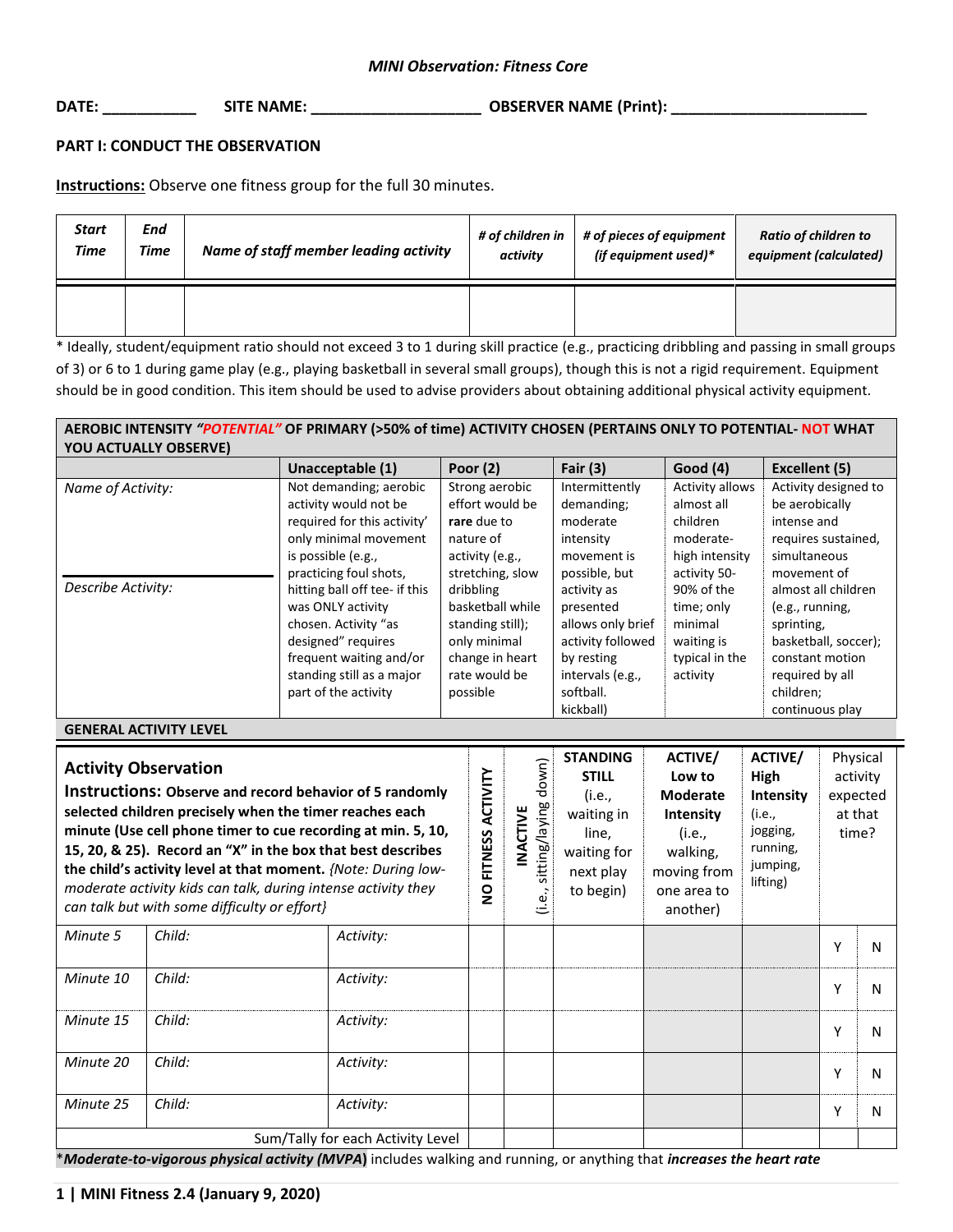## *MINI Observation: Fitness Core*

**DATE: \_\_\_\_\_\_\_\_\_\_\_ SITE NAME: \_\_\_\_\_\_\_\_\_\_\_\_\_\_\_\_\_\_\_\_ OBSERVER NAME (Print): \_\_\_\_\_\_\_\_\_\_\_\_\_\_\_\_\_\_\_\_\_\_\_**

### **PART I: CONDUCT THE OBSERVATION**

**Instructions:** Observe one fitness group for the full 30 minutes.

| <b>Start</b> | End         | Name of staff member leading activity | # of children in | # of pieces of equipment | <b>Ratio of children to</b> |
|--------------|-------------|---------------------------------------|------------------|--------------------------|-----------------------------|
| <b>Time</b>  | <b>Time</b> |                                       | activity         | (if equipment used)*     | equipment (calculated)      |
|              |             |                                       |                  |                          |                             |

\* Ideally, student/equipment ratio should not exceed 3 to 1 during skill practice (e.g., practicing dribbling and passing in small groups of 3) or 6 to 1 during game play (e.g., playing basketball in several small groups), though this is not a rigid requirement. Equipment should be in good condition. This item should be used to advise providers about obtaining additional physical activity equipment.

#### **AEROBIC INTENSITY** *"POTENTIAL"* **OF PRIMARY (>50% of time) ACTIVITY CHOSEN (PERTAINS ONLY TO POTENTIAL- NOT WHAT YOU ACTUALLY OBSERVE) Unacceptable (1) Poor (2) Fair (3) Good (4) Excellent (5)** *Name of Activity: Describe Activity:* Not demanding; aerobic activity would not be required for this activity' only minimal movement is possible (e.g., practicing foul shots, hitting ball off tee- if this was ONLY activity chosen. Activity "as designed" requires frequent waiting and/or standing still as a major Strong aerobic effort would be **rare** due to nature of activity (e.g., stretching, slow dribbling basketball while standing still); only minimal change in heart rate would be Intermittently demanding; moderate intensity movement is possible, but activity as presented allows only brief activity followed by resting intervals (e.g., Activity allows almost all children moderatehigh intensity activity 50- 90% of the time; only minimal waiting is typical in the activity Activity designed to be aerobically intense and requires sustained, simultaneous movement of almost all children (e.g., running, sprinting, basketball, soccer); constant motion required by all

possible

softball. kickball) children; continuous play

part of the activity

#### **GENERAL ACTIVITY LEVEL STANDING ACTIVE/ ACTIVE/** Physical (i.e., sitting/laying down) **Activity Observation INACTIVE**<br>(i.e., sitting/laying down) **NO FITNESS ACTIVITY STILL Low to High**  activity NO FITNESS ACTIVITY **Instructions: Observe and record behavior of 5 randomly Moderate Intensity** (i.e., expected **selected children precisely when the timer reaches each**  waiting in **Intensity** (i.e., at that **minute (Use cell phone timer to cue recording at min. 5, 10,**  jogging, line, (i.e., time? **15, 20, & 25). Record an "X" in the box that best describes**  running, waiting for walking, jumping, **the child's activity level at that moment.** *{Note: During low*next play moving from lifting) *moderate activity kids can talk, during intense activity they*  to begin) one area to *can talk but with some difficulty or effort}* another) *Minute 5 Child:* Activity: Y N *Minute 10 Child:* Activity: Y N *Minute 15 Child:* Activity: Y N *Minute 20 Child:* Activity: Y N *Minute 25 Child: Activity:* <sup>Y</sup> <sup>N</sup> Sum/Tally for each Activity Level

\**Moderate-to-vigorous physical activity (MVPA***)** includes walking and running, or anything that *increases the heart rate*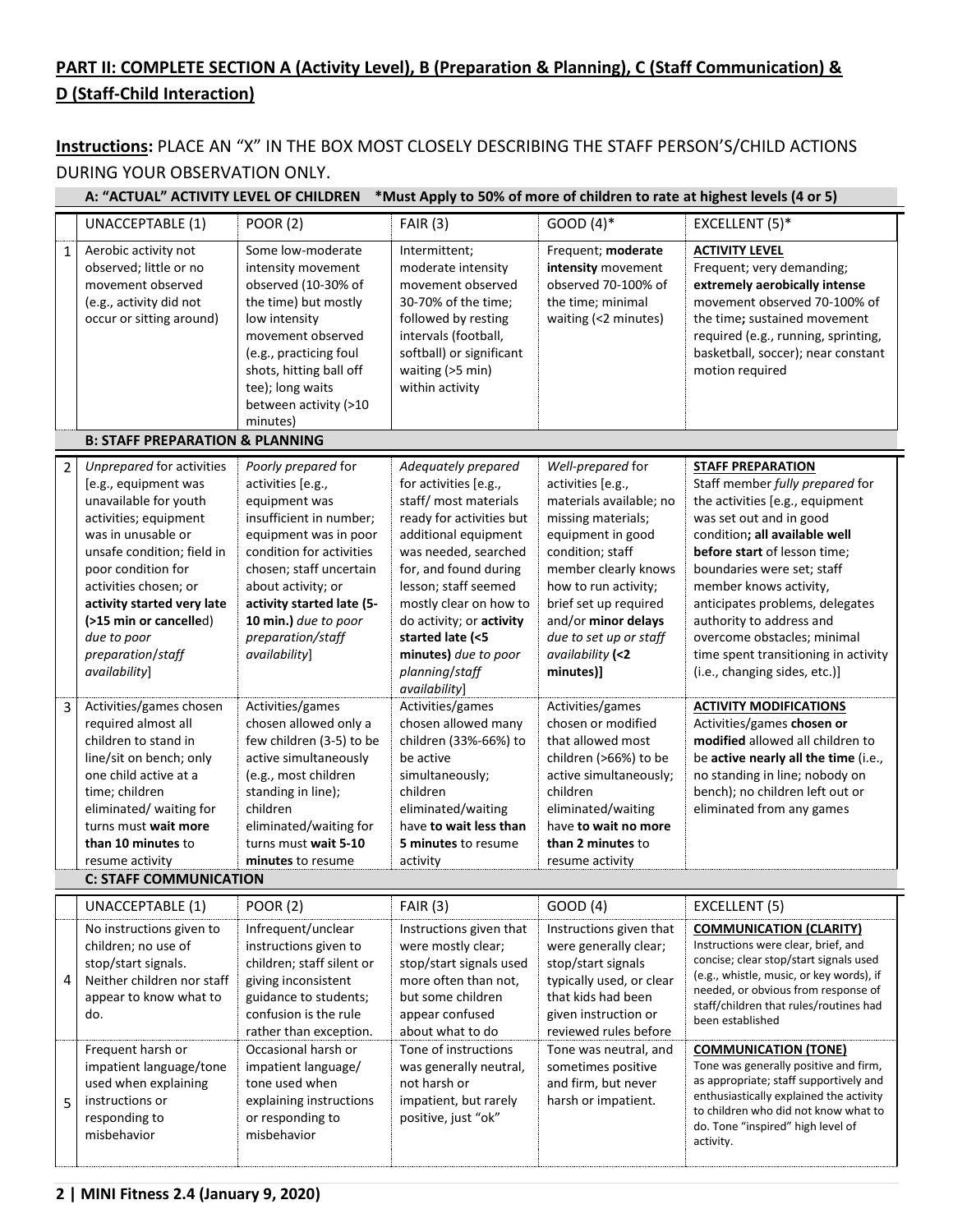# **PART II: COMPLETE SECTION A (Activity Level), B (Preparation & Planning), C (Staff Communication) & D (Staff-Child Interaction)**

## **Instructions:** PLACE AN "X" IN THE BOX MOST CLOSELY DESCRIBING THE STAFF PERSON'S/CHILD ACTIONS DURING YOUR OBSERVATION ONLY.

|                | A: "ACTUAL" ACTIVITY LEVEL OF CHILDREN *Must Apply to 50% of more of children to rate at highest levels (4 or 5)                                                                                                                                                                                                    |                                                                                                                                                                                                                                                                                       |                                                                                                                                                                                                                                                                                                                        |                                                                                                                                                                                                                                                                                             |                                                                                                                                                                                                                                                                                                                                                                                                                           |
|----------------|---------------------------------------------------------------------------------------------------------------------------------------------------------------------------------------------------------------------------------------------------------------------------------------------------------------------|---------------------------------------------------------------------------------------------------------------------------------------------------------------------------------------------------------------------------------------------------------------------------------------|------------------------------------------------------------------------------------------------------------------------------------------------------------------------------------------------------------------------------------------------------------------------------------------------------------------------|---------------------------------------------------------------------------------------------------------------------------------------------------------------------------------------------------------------------------------------------------------------------------------------------|---------------------------------------------------------------------------------------------------------------------------------------------------------------------------------------------------------------------------------------------------------------------------------------------------------------------------------------------------------------------------------------------------------------------------|
|                | UNACCEPTABLE (1)                                                                                                                                                                                                                                                                                                    | <b>POOR (2)</b>                                                                                                                                                                                                                                                                       | <b>FAIR (3)</b>                                                                                                                                                                                                                                                                                                        | $GOOD(4)*$                                                                                                                                                                                                                                                                                  | EXCELLENT (5)*                                                                                                                                                                                                                                                                                                                                                                                                            |
| $\mathbf{1}$   | Aerobic activity not<br>observed; little or no<br>movement observed<br>(e.g., activity did not<br>occur or sitting around)<br><b>B: STAFF PREPARATION &amp; PLANNING</b>                                                                                                                                            | Some low-moderate<br>intensity movement<br>observed (10-30% of<br>the time) but mostly<br>low intensity<br>movement observed<br>(e.g., practicing foul<br>shots, hitting ball off<br>tee); long waits<br>between activity (>10<br>minutes)                                            | Intermittent;<br>moderate intensity<br>movement observed<br>30-70% of the time;<br>followed by resting<br>intervals (football,<br>softball) or significant<br>waiting $(>5$ min)<br>within activity                                                                                                                    | Frequent; moderate<br>intensity movement<br>observed 70-100% of<br>the time; minimal<br>waiting (<2 minutes)                                                                                                                                                                                | <b>ACTIVITY LEVEL</b><br>Frequent; very demanding;<br>extremely aerobically intense<br>movement observed 70-100% of<br>the time; sustained movement<br>required (e.g., running, sprinting,<br>basketball, soccer); near constant<br>motion required                                                                                                                                                                       |
|                |                                                                                                                                                                                                                                                                                                                     |                                                                                                                                                                                                                                                                                       |                                                                                                                                                                                                                                                                                                                        |                                                                                                                                                                                                                                                                                             |                                                                                                                                                                                                                                                                                                                                                                                                                           |
| $\overline{2}$ | Unprepared for activities<br>[e.g., equipment was<br>unavailable for youth<br>activities; equipment<br>was in unusable or<br>unsafe condition; field in<br>poor condition for<br>activities chosen; or<br>activity started very late<br>(>15 min or cancelled)<br>due to poor<br>preparation/staff<br>availability] | Poorly prepared for<br>activities [e.g.,<br>equipment was<br>insufficient in number;<br>equipment was in poor<br>condition for activities<br>chosen; staff uncertain<br>about activity; or<br>activity started late (5-<br>10 min.) due to poor<br>preparation/staff<br>availability] | Adequately prepared<br>for activities [e.g.,<br>staff/ most materials<br>ready for activities but<br>additional equipment<br>was needed, searched<br>for, and found during<br>lesson; staff seemed<br>mostly clear on how to<br>do activity; or activity<br>started late (<5<br>minutes) due to poor<br>planning/staff | Well-prepared for<br>activities [e.g.,<br>materials available; no<br>missing materials;<br>equipment in good<br>condition; staff<br>member clearly knows<br>how to run activity;<br>brief set up required<br>and/or minor delays<br>due to set up or staff<br>availability (<2<br>minutes)] | <b>STAFF PREPARATION</b><br>Staff member fully prepared for<br>the activities [e.g., equipment<br>was set out and in good<br>condition; all available well<br>before start of lesson time;<br>boundaries were set; staff<br>member knows activity,<br>anticipates problems, delegates<br>authority to address and<br>overcome obstacles; minimal<br>time spent transitioning in activity<br>(i.e., changing sides, etc.)] |
| 3              | Activities/games chosen                                                                                                                                                                                                                                                                                             | Activities/games                                                                                                                                                                                                                                                                      | availability]<br>Activities/games                                                                                                                                                                                                                                                                                      | Activities/games                                                                                                                                                                                                                                                                            | <b>ACTIVITY MODIFICATIONS</b>                                                                                                                                                                                                                                                                                                                                                                                             |
|                | required almost all<br>children to stand in<br>line/sit on bench; only<br>one child active at a<br>time; children<br>eliminated/ waiting for<br>turns must wait more<br>than 10 minutes to<br>resume activity<br><b>C: STAFF COMMUNICATION</b>                                                                      | chosen allowed only a<br>few children (3-5) to be<br>active simultaneously<br>(e.g., most children<br>standing in line);<br>children<br>eliminated/waiting for<br>turns must wait 5-10<br>minutes to resume                                                                           | chosen allowed many<br>children (33%-66%) to<br>be active<br>simultaneously;<br>children<br>eliminated/waiting<br>have to wait less than<br>5 minutes to resume<br>activity                                                                                                                                            | chosen or modified<br>that allowed most<br>children (>66%) to be<br>active simultaneously;<br>children<br>eliminated/waiting<br>have to wait no more<br>than 2 minutes to<br>resume activity                                                                                                | Activities/games chosen or<br>modified allowed all children to<br>be active nearly all the time (i.e.,<br>no standing in line; nobody on<br>bench); no children left out or<br>eliminated from any games                                                                                                                                                                                                                  |
|                | UNACCEPTABLE (1)                                                                                                                                                                                                                                                                                                    | <b>POOR (2)</b>                                                                                                                                                                                                                                                                       | <b>FAIR (3)</b>                                                                                                                                                                                                                                                                                                        | GOOD (4)                                                                                                                                                                                                                                                                                    | EXCELLENT (5)                                                                                                                                                                                                                                                                                                                                                                                                             |
| 4              | No instructions given to<br>children; no use of<br>stop/start signals.<br>Neither children nor staff<br>appear to know what to<br>do.                                                                                                                                                                               | Infrequent/unclear<br>instructions given to<br>children; staff silent or<br>giving inconsistent<br>guidance to students;<br>confusion is the rule<br>rather than exception.                                                                                                           | Instructions given that<br>were mostly clear;<br>stop/start signals used<br>more often than not,<br>but some children<br>appear confused<br>about what to do                                                                                                                                                           | Instructions given that<br>were generally clear;<br>stop/start signals<br>typically used, or clear<br>that kids had been<br>given instruction or<br>reviewed rules before                                                                                                                   | <b>COMMUNICATION (CLARITY)</b><br>Instructions were clear, brief, and<br>concise; clear stop/start signals used<br>(e.g., whistle, music, or key words), if<br>needed, or obvious from response of<br>staff/children that rules/routines had<br>been established                                                                                                                                                          |
| 5              | Frequent harsh or<br>impatient language/tone<br>used when explaining<br>instructions or<br>responding to<br>misbehavior                                                                                                                                                                                             | Occasional harsh or<br>impatient language/<br>tone used when<br>explaining instructions<br>or responding to<br>misbehavior                                                                                                                                                            | Tone of instructions<br>was generally neutral,<br>not harsh or<br>impatient, but rarely<br>positive, just "ok"                                                                                                                                                                                                         | Tone was neutral, and<br>sometimes positive<br>and firm, but never<br>harsh or impatient.                                                                                                                                                                                                   | <b>COMMUNICATION (TONE)</b><br>Tone was generally positive and firm,<br>as appropriate; staff supportively and<br>enthusiastically explained the activity<br>to children who did not know what to<br>do. Tone "inspired" high level of<br>activity.                                                                                                                                                                       |